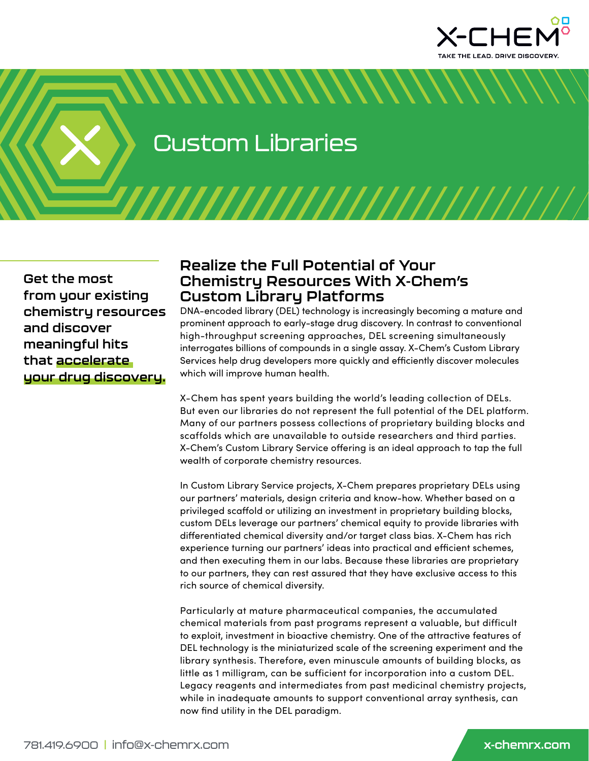

Custom Libraries

**Get the most from your existing chemistry resources and discover meaningful hits that accelerate your drug discovery.**

# **Realize the Full Potential of Your Chemistry Resources With X-Chem's Custom Library Platforms**

<u> AAAAAAAAAAAAAAAA</u>

DNA-encoded library (DEL) technology is increasingly becoming a mature and prominent approach to early-stage drug discovery. In contrast to conventional high-throughput screening approaches, DEL screening simultaneously interrogates billions of compounds in a single assay. X-Chem's Custom Library Services help drug developers more quickly and efficiently discover molecules which will improve human health.

X-Chem has spent years building the world's leading collection of DELs. But even our libraries do not represent the full potential of the DEL platform. Many of our partners possess collections of proprietary building blocks and scaffolds which are unavailable to outside researchers and third parties. X-Chem's Custom Library Service offering is an ideal approach to tap the full wealth of corporate chemistry resources.

In Custom Library Service projects, X-Chem prepares proprietary DELs using our partners' materials, design criteria and know-how. Whether based on a privileged scaffold or utilizing an investment in proprietary building blocks, custom DELs leverage our partners' chemical equity to provide libraries with differentiated chemical diversity and/or target class bias. X-Chem has rich experience turning our partners' ideas into practical and efficient schemes, and then executing them in our labs. Because these libraries are proprietary to our partners, they can rest assured that they have exclusive access to this rich source of chemical diversity.

Particularly at mature pharmaceutical companies, the accumulated chemical materials from past programs represent a valuable, but difficult to exploit, investment in bioactive chemistry. One of the attractive features of DEL technology is the miniaturized scale of the screening experiment and the library synthesis. Therefore, even minuscule amounts of building blocks, as little as 1 milligram, can be sufficient for incorporation into a custom DEL. Legacy reagents and intermediates from past medicinal chemistry projects, while in inadequate amounts to support conventional array synthesis, can now find utility in the DEL paradigm.